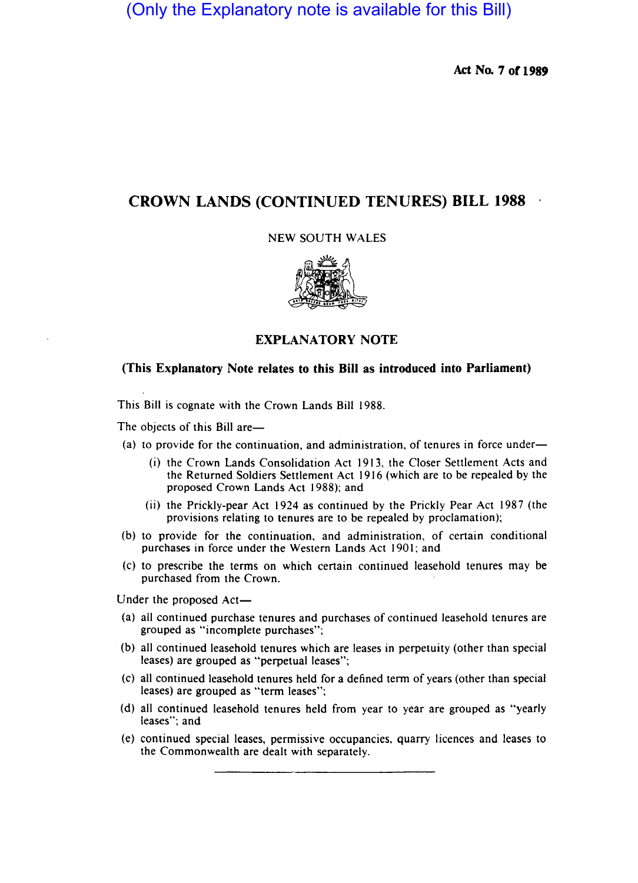(Only the Explanatory note is available for this Bill)

**Act No. 7 or 1989** 

# **CROWN LANDS (CONTINUED TENURES) BILL 1988**

NEW SOUTH WALES



# **EXPLANATORY NOTE**

# **(This Explanatory Note relates to this Bill as introduced into Parliament)**

This Bill is cognate with the Crown Lands Bill 1988.

The objects of this Bill are—

- (a) to provide for the continuation, and administration, of tenures in force under-
	- (i) the Crown Lands Consolidation Act 1913, the Closer Settlement Acts and the Returned Soldiers Settlement Act 1916 (which are to be repealed by the proposed Crown Lands Act 1988); and
	- (ii) the Prickly-pear Act 1924 as continued by the Prickly Pear Act 1987 (the provisions relating to tenures are to be repealed by proclamation);
- (b) to provide for the continuation, and administration, of certain conditional purchases in force under the Western Lands Act 1901; and
- (c) to prescribe the terms on which certain continued leasehold tenures may be purchased from the Crown.

Under the proposed Act-

- (a) all continued purchase tenures and purchases of continued leasehold tenures are grouped as "incomplete purchases";
- (b) all continued leasehold tenures which are leases in perpetuity (other than special leases) are grouped as "perpetual leases";
- (c) all continued leasehold tenures held for a defined term of years (other than special leases) are grouped as "term leases";
- (d) all continued leasehold tenures held from year to year are grouped as "yearly leases"; and
- (e) continued special leases, permissive occupancies, quarry licences and leases to the Commonwealth are dealt with separately.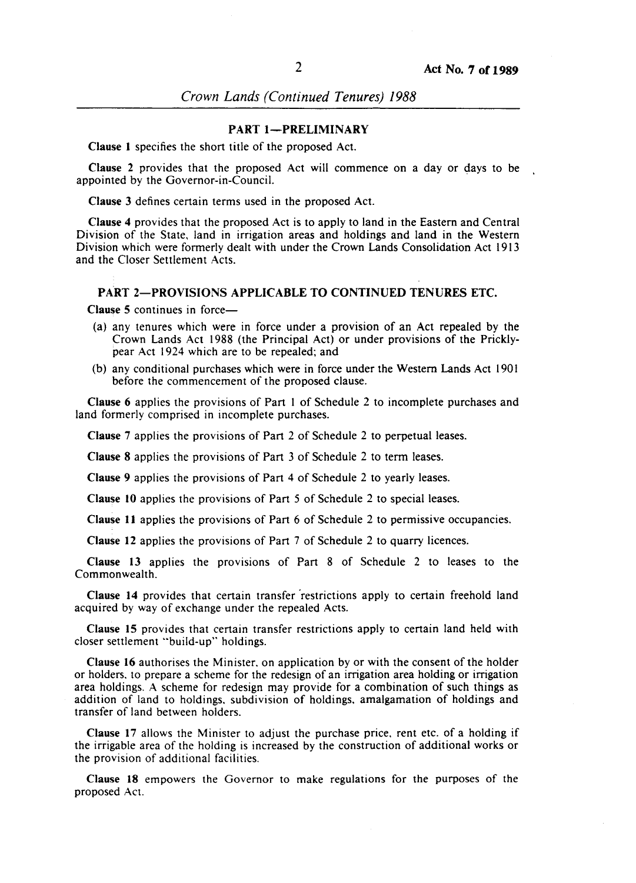*Crown Lands (Continued Tenures) 1988* 

#### PART 1-PRELIMINARY

Clause I specifies the short title of the proposed Act.

Clause 2 provides that the proposed Act will commence on a day or days to be appointed by the Governor-in-Council.

Clause 3 defines certain terms used in the proposed Act.

Clause 4 provides that the proposed Act is to apply to land in the Eastern and Central Division of the State, land in irrigation areas and holdings and land in the Western Division which were formerly dealt with under the Crown Lands Consolidation Act 1913 and the Closer Settlement Acts.

# PART 2—PROVISIONS APPLICABLE TO CONTINUED TENURES ETC.

Clause 5 continues in force-

- (a) any tenures which were in force under a provision of an Act repealed by the Crown Lands Act 1988 (the Principal Act) or under provisions of the Pricklypear Act 1924 which are to be repealed; and
- (b) any conditional purchases which were in force under the Western Lands Act 1901 before the commencement of the proposed clause.

Clause 6 applies the provisions of Part I of Schedule 2 to incomplete purchases and land formerly comprised in incomplete purchases.

Clause 7 applies the provisions of Part 2 of Schedule 2 to perpetual leases.

Clause 8 applies the provisions of Part 3 of Schedule 2 to term leases.

Clause 9 applies the provisions of Part 4 of Schedule 2 to yearly leases.

Clause 10 applies the provisions of Part 5 of Schedule 2 to special leases.

Clause 11 applies the provisions of Part  $6$  of Schedule 2 to permissive occupancies.

Clause 12 applies the provisions of Part 7 of Schedule 2 to quarry licences.

Clause 13 applies the provisions of Part 8 of Schedule 2 to leases to the Commonwealth.

Clause 14 provides that certain transfer 'restrictions apply to certain freehold land acquired by way of exchange under the repealed Acts.

Clause 15 provides that certain transfer restrictions apply to certain land held with closer settlement "build-up" holdings.

Clause 16 authorises the Minister, on application by or with the consent of the holder or holders, to prepare a scheme for the redesign of an irrigation area holding or irrigation area holdings. A scheme for redesign may provide for a combination of such things as addition of land to holdings, subdivision of holdings, amalgamation of holdings and transfer of land between holders.

Clause 17 allows the Minister to adjust the purchase price, rent etc. of a holding if the irrigable area of the holding is increased by the construction of additional works or the provision of additional facilities.

Clause 18 empowers the Governor to make regulations for the purposes of the proposed Act.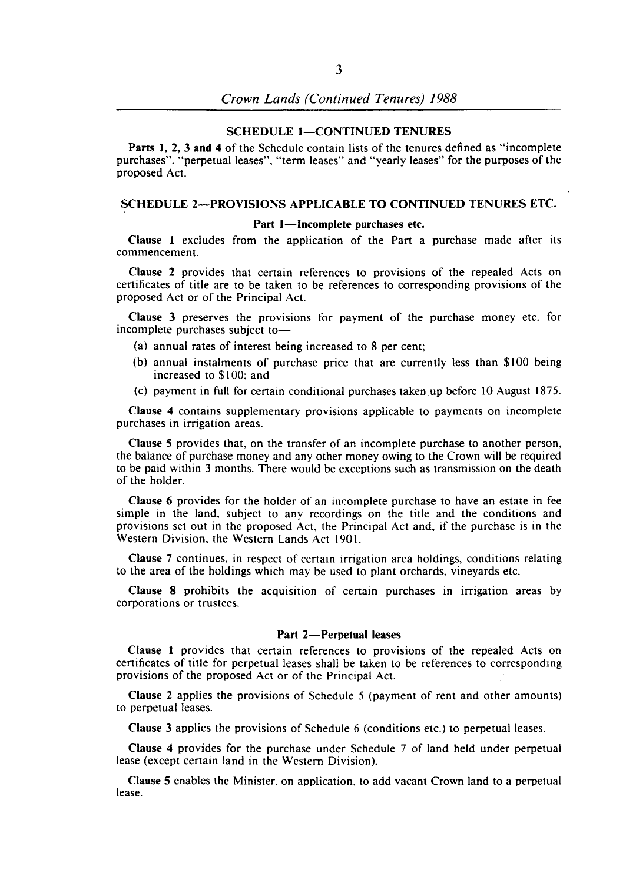# **SCHEDULE 1-CONTINUED TENURES**

Parts I, 2, 3 and 4 of the Schedule contain lists of the tenures defined as "incomplete purchases", "perpetual leases", "term leases" and "yearly leases" for the purposes of the proposed Act.

# SCHEDULE 2-PROVISIONS APPLICABLE TO CONTINUED TENURES ETC.

#### Part 1-Incomplete purchases etc.

Clause I excludes from the application of the Part a purchase made after its commencement.

Clause 2 provides that certain references to provisions of the repealed Acts on certificates of title are to be taken to be references to corresponding provisions of the proposed Act or of the Principal Act.

Clause 3 preserves the provisions for payment of the purchase money etc. for incomplete purchases subject to-

- (a) annual rates of interest being increased to 8 per cent;
- (b) annual instalments of purchase price that are currently less than \$100 being increased to \$100; and
- (c) payment in full for certain conditional purchases taken up before  $10$  August 1875.

Clause 4 contains supplementary provisions applicable to payments on incomplete purchases in irrigation areas.

Clause 5 provides that, on the transfer of an incomplete purchase to another person, the balance of purchase money and any other money owing to the Crown will be required to be paid within 3 months. There would be exceptions such as transmission on the death of the holder.

Clause 6 provides for the holder of an incomplete purchase to have an estate in fee simple in the land, subject to any recordings on the title and the conditions and provisions set out in the proposed Act, the Principal Act and, if the purchase is in the Western Division, the Western Lands Act 1901.

Clause 7 continues, in respect of certain irrigation area holdings, conditions relating to the area of the holdings which may be used to plant orchards, vineyards etc.

Clause 8 prohibits the acquisition of certain purchases in irrigation areas by corporations or trustees.

#### Part 2-Perpetual leases

Clause I provides that certain references to provisions of the repealed Acts on certificates of title for perpetual leases shall be taken to be references to corresponding provisions of the proposed Act or of the Principal Act.

Clause 2 applies the provisions of Schedule 5 (payment of rent and other amounts) to perpetual leases.

Clause 3 applies the provisions of Schedule 6 (conditions etc.) to perpetual leases.

Clause 4 provides for the purchase under Schedule 7 of land held under perpetual lease (except certain land in the Western Division).

Clause 5 enables the Minister. on application, to add vacant Crown land to a perpetual lease.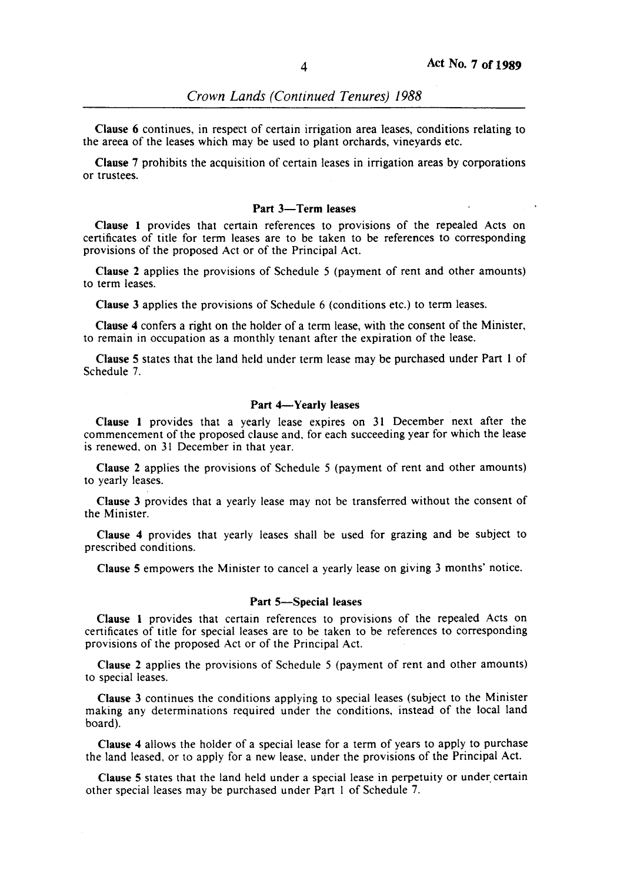Clause 6 continues, in respect of certain irrigation area leases, conditions relating to the areea of the leases which may be used to plant orchards, vineyards etc.

Clause 7 prohibits the acquisition of certain leases in irrigation areas by corporations or trustees.

#### Part 3-Term leases

Clause 1 provides that certain references to provisions of the repealed Acts on certificates of title for term leases are to be taken to be references to corresponding provisions of the proposed Act or of the Principal Act.

Clause 2 applies the provisions of Schedule 5 (payment of rent and other amounts) to term leases.

Clause 3 applies the provisions of Schedule 6 (conditions etc.) to term leases.

Clause 4 confers a right on the holder of a term lease, with the consent of the Minister, to remain in occupation as a monthly tenant after the expiration of the lease.

Clause 5 states that the land held under term lease may be purchased under Part I of Schedule 7.

## Part 4-Yearly leases

Clause 1 provides that a yearly lease expires on 31 December next after the commencement of the proposed clause and, for each succeeding year for which the lease is renewed. on 31 December in that year.

Clause 2 applies the provisions of Schedule 5 (payment of rent and other amounts) to yearly leases.

Clause 3 provides that a yearly lease may not be transferred without the consent of the Minister.

Clause 4 provides that yearly leases shall be used for grazing and be subject to prescribed conditions.

Clause 5 empowers the Minister to cancel a yearly lease on giving 3 months' notice.

#### Part 5-Special leases

Clause 1 provides that certain references to provisions of the repealed Acts on certificates of title for special leases are to be taken to be references to corresponding provisions of the proposed Act or of the Principal Act.

Clause 2 applies the provisions of Schedule 5 (payment of rent and other amounts) to special leases.

Clause 3 continues the conditions applying to special leases (subject to the Minister making any determinations required under the conditions, instead of the local land board).

Clause 4 allows the holder of a special lease for a term of years to apply to purchase the land leased. or to apply for a new lease, under the provisions of the Principal Act.

Clause 5 states that the land held under a special lease in perpetuity or under. certain other special leases may be purchased under Part 1 of Schedule 7.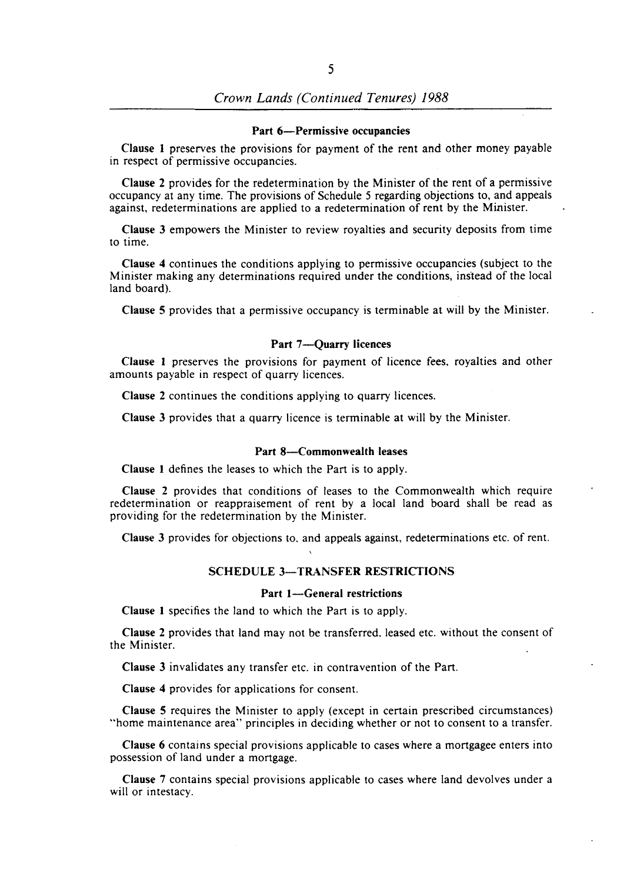# *Crown Lands (Continued Tenures) 1988*

#### Part 6-Permissive occupancies

Clause I preserves the provisions for payment of the rent and other money payable in respect of permissive occupancies.

Clause 2 provides for the redetermination by the Minister of the rent of a permissive occupancy at any time. The provisions of Schedule 5 regarding objections to, and appeals against, redeterminations are applied to a redetermination of rent by the Minister.

Clause 3 empowers the Minister to review royalties and security deposits from time to time.

Clause 4 continues the conditions applying to permissive occupancies (subject to the Minister making any determinations required under the conditions, instead of the local land board).

Clause 5 provides that a permissive occupancy is terminable at will by the Minister.

#### Part 7-Ouarry licences

Clause I preserves the provisions for payment of licence fees, royalties and other amounts payable in respect of quarry licences.

Clause 2 continues the conditions applying to quarry licences.

Clause 3 provides that a quarry licence is terminable at will by the Minister.

#### Part 8-Commonwealth leases

Clause I defines the leases to which the Part is to apply.

Clause 2 provides that conditions of leases to the Commonwealth which require redetermination or reappraisement of rent by a local land board shall be read as providing for the redetermination by the Minister.

Clause 3 provides for objections to, and appeals against, redeterminations etc. of rent.

#### SCHEDULE 3-TRANSFER RESTRICTIONS

#### Part 1-General restrictions

Clause I specifies the land to which the Part is to apply.

Clause 2 provides that land may not be transferred. leased etc. without the consent of the Minister.

Clause 3 invalidates any transfer etc. in contravention of the Part.

Clause 4 provides for applications for consent.

Clause 5 requires the Minister to apply (except in certain prescribed circumstances) '"home maintenance area" principles in deciding whether or not to consent to a transfer.

Clause 6 contains special provisions applicable to cases where a mortgagee enters into possession of land under a mortgage.

Clause 7 contains special provisions applicable to cases where land devolves under a will or intestacy.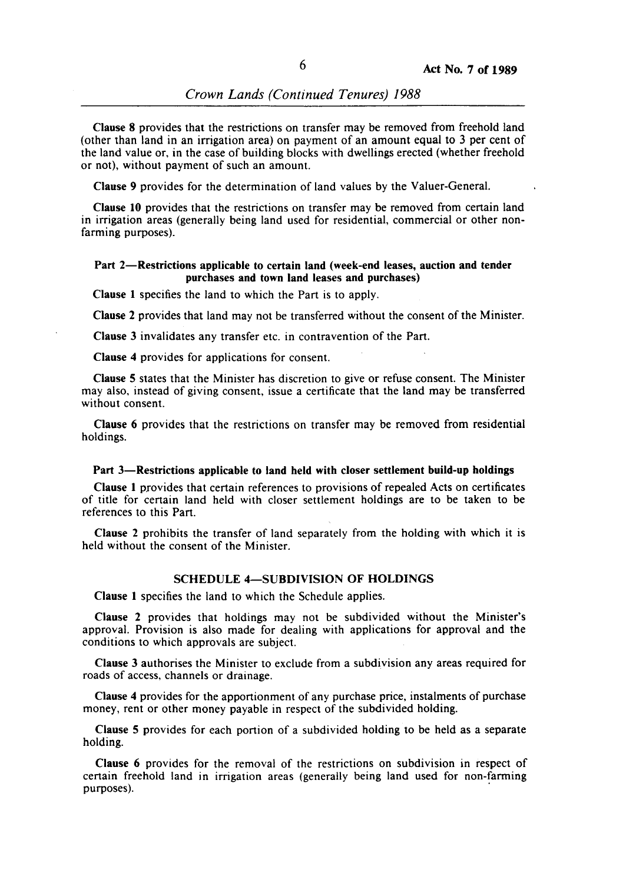*Crown Lands (Continued Tenures) 1988* 

Clause 8 provides that the restrictions on transfer may be removed from freehold land (other than land in an irrigation area) on payment of an amount equal to 3 per cent of the land value or, in the case of building blocks with dwellings erected (whether freehold or not), without payment of such an amount.

Clause 9 provides for the determination of land values by the Valuer-General.

Clause 10 provides that the restrictions on transfer may be removed from certain land in irrigation areas (generally being land used for residential, commercial or other nonfarming purposes).

#### Part 2—Restrictions applicable to certain land (week-end leases, auction and tender purchases and town land leases and purchases)

Clause 1 specifies the land to which the Part is to apply.

Clause 2 provides that land may not be transferred without the consent of the Minister.

Clause 3 invalidates any transfer etc. in contravention of the Part.

Clause 4 provides for applications for consent.

Clause 5 states that the Minister has discretion to give or refuse consent. The Minister may also, instead of giving consent, issue a certificate that the land may be transferred without consent.

Clause 6 provides that the restrictions on transfer may be removed from residential holdings.

#### Part 3-Restrictions applicable to land held with closer settlement build-up holdings

Clause 1 provides that certain references to provisions of repealed Acts on certificates of title for certain land held with closer settlement holdings are to be taken to be references to this Part.

Clause 2 prohibits the transfer of land separately from the holding with which it is held without the consent of the Minister.

#### SCHEDULE 4-SUBDIVISION OF HOLDINGS

Clause 1 specifies the land to which the Schedule applies.

Clause 2 provides that holdings may not be subdivided without the Minister's approval. Provision is also made for dealing with applications for approval and the conditions to which approvals are subject.

Clause 3 authorises the Minister to exclude from a subdivision any areas required for roads of access, channels or drainage.

Clause 4 provides for the apportionment of any purchase price, instalments of purchase money, rent or other money payable in respect of the subdivided holding.

Clause 5 provides for each portion of a subdivided holding to be held as a separate holding.

Clause 6 provides for the removal of the restrictions on subdivision in respect of certain freehold land in irrigation areas (generally being land used for non-farming purposes).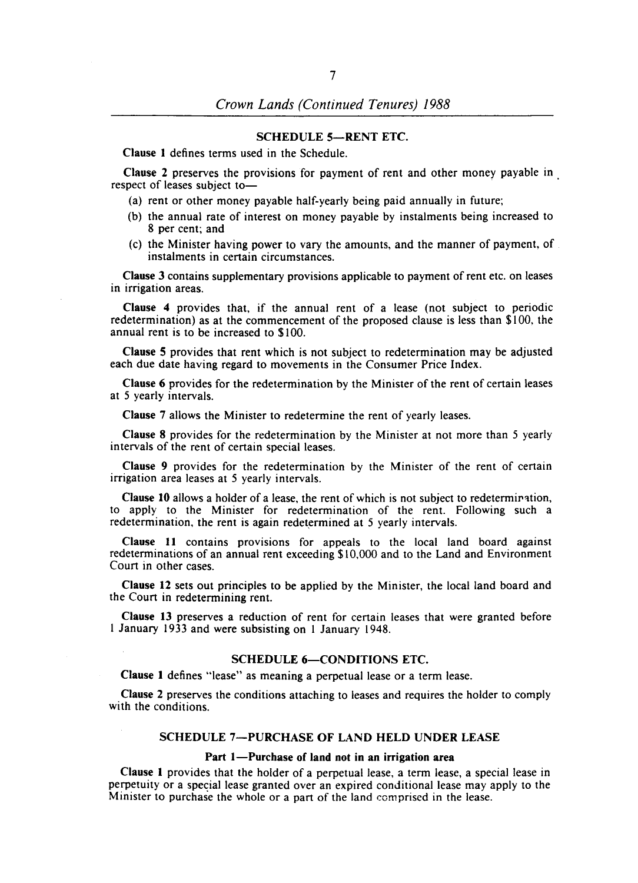## SCHEDULE 5-RENT ETC.

Clause 1 defines terms used in the Schedule.

Clause 2 preserves the provisions for payment of rent and other money payable in . respect of leases subject to-

- (a) rent or other money payable half-yearly being paid annually in future;
- (b) the annual rate of interest on money payable by instalments being increased to 8 per cent; and
- (c) the Minister having power to vary the amounts, and the manner of payment, of instalments in certain circumstances.

Clause 3 contains supplementary provisions applicable to payment of rent etc. on leases in irrigation areas.

Clause 4 provides that, if the annual rent of a lease (not subject to periodic redetermination) as at the commencement of the proposed clause is less than \$100, the annual rent is to be increased to \$100.

Clause 5 provides that rent which is not subject to redetermination may be adjusted each due date having regard to movements in the Consumer Price Index.

Clause 6 provides for the redetermination by the Minister of the rent of certain leases at 5 yearly intervals.

Clause 7 allows the Minister to redetermine the rent of yearly leases.

Clause 8 provides for the redetermination by the Minister at not more than 5 yearly intervals of the rent of certain special leases.

Clause 9 provides for the redetermination by the Minister of the rent of certain irrigation area leases at 5 yearly intervals.

Clause 10 allows a holder of a lease, the rent of which is not subject to redetermination, to apply to the Minister for redetermination of the rent. Following such a redetermination, the rent is again redetermined at 5 yearly intervals.

Clause 11 contains provisions for appeals to the local land board against redeterminations of an annual rent exceeding \$10,000 and to the Land and Environment Court in other cases.

Clause 12 sets out principles to be applied by the Minister, the local land board and the Court in redetermining rent.

Clause 13 preserves a reduction of rent for certain leases that were granted before I January 1933 and were subsisting on 1 January 1948.

# SCHEDULE 6-CONDITIONS ETC.

Clause 1 defines "lease" as meaning a perpetual lease or a term lease.

Clause 2 preserves the conditions attaching to leases and requires the holder to comply with the conditions.

## SCHEDULE 7-PURCHASE OF LAND HELD UNDER LEASE

#### Part 1-Purchase of land not in an irrigation area

Clause 1 provides that the holder of a perpetual lease, a term lease, a special lease in perpetuity or a special lease granted over an expired conditional lease may apply to the Minister to purchase the whole or a part of the land comprised in the lease.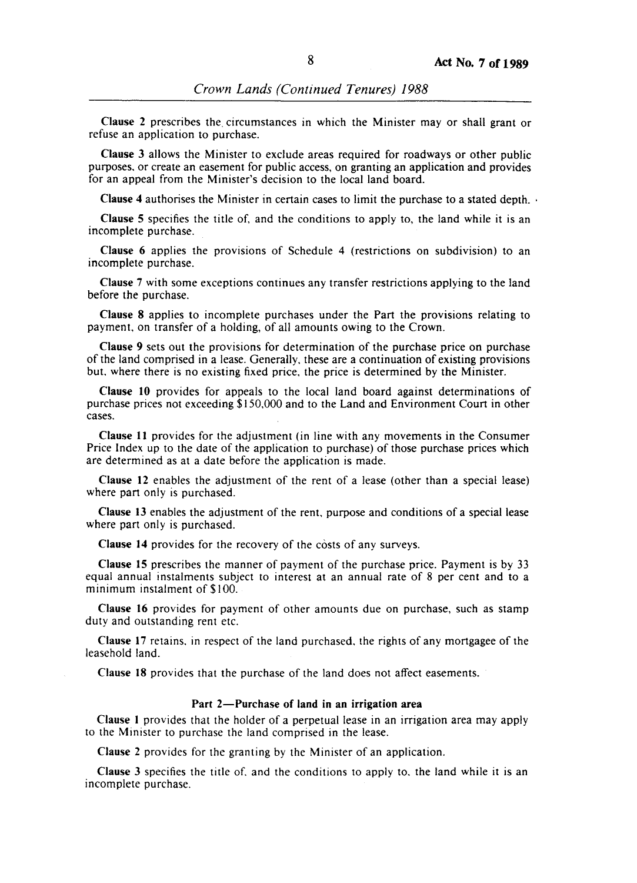Clause 2 prescribes the. circumstances in which the Minister mayor shall grant or refuse an application to purchase.

Clause 3 allows the Minister to exclude areas required for roadways or other public purposes, or create an easement for public access, on granting an application and provides for an appeal from the Minister's decision to the local land board.

Clause 4 authorises the Minister in certain cases to limit the purchase to a stated depth.

Clause 5 specifies the title of, and the conditions to apply to, the land while it is an incomplete purchase.

Clause 6 applies the provisions of Schedule 4 (restrictions on subdivision) to an incomplete purchase.

Clause 7 with some exceptions continues any transfer restrictions applying to the land before the purchase.

Clause 8 applies to incomplete purchases under the Part the provisions relating to payment, on transfer of a holding, of all amounts owing to the Crown.

Clause 9 sets out the provisions for determination of the purchase price on purchase of the land comprised in a lease. Generally, these are a continuation of existing provisions but, where there is no existing fixed price, the price is determined by the Minister.

Clause 10 provides for appeals to the local land board against determinations of purchase prices not exceeding \$150,000 and to the Land and Environment Court in other cases.

Clause 11 provides for the adjustment (in line with any movements in the Consumer Price Index up to the date of the application to purchase) of those purchase prices which are determined as at a date before the application is made.

Clause 12 enables the adjustment of the rent of a lease (other than a special lease) where part only is purchased.

Clause 13 enables the adjustment of the rent, purpose and conditions of a special lease where part only is purchased.

Clause 14 provides for the recovery of the costs of any surveys.

Clause 15 prescribes the manner of payment of the purchase price. Payment is by 33 equal annual instalments subject to interest at an annual rate of 8 per cent and to a minimum instalment of \$100.

Clause 16 provides for payment of other amounts due on purchase, such as stamp duty and outstanding rent etc.

Clause 17 retains, in respect of the land purchased, the rights of any mortgagee of the leasehold land.

Clause 18 provides that the purchase of the land does not affect easements.

#### Part 2-Purchase of land in an irrigation area

Clause I provides that the holder of a perpetual lease in an irrigation area may apply to the Minister to purchase the land comprised in the lease.

Clause 2 provides for the granting by the Minister of an application.

Clause 3 specifies the title of. and the conditions to apply to. the land while it is an incomplete purchase.